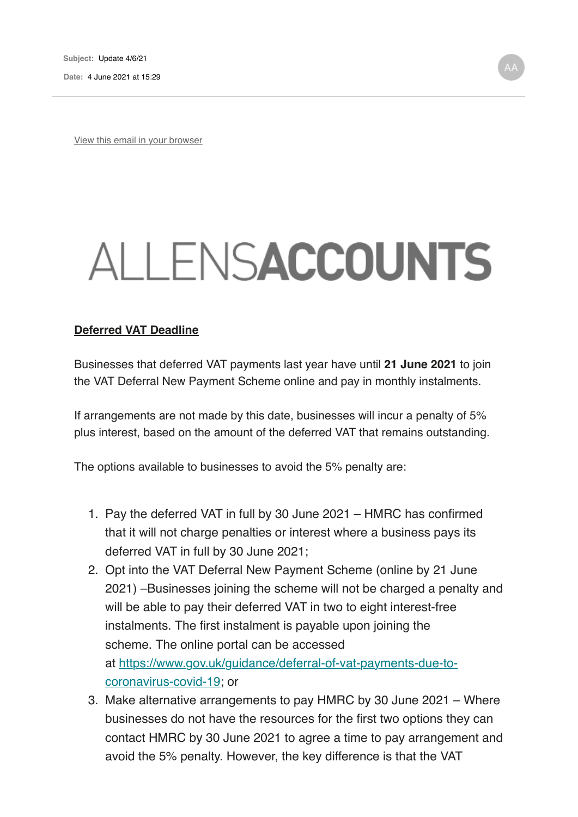View this email in your browser

# ALLENSACCOUNTS

#### **Deferred VAT Deadline**

Businesses that deferred VAT payments last year have until **21 June 2021** to join the VAT Deferral New Payment Scheme online and pay in monthly instalments.

If arrangements are not made by this date, businesses will incur a penalty of 5% plus interest, based on the amount of the deferred VAT that remains outstanding.

The options available to businesses to avoid the 5% penalty are:

- 1. Pay the deferred VAT in full by 30 June 2021 HMRC has confirmed that it will not charge penalties or interest where a business pays its deferred VAT in full by 30 June 2021;
- 2. Opt into the VAT Deferral New Payment Scheme (online by 21 June 2021) –Businesses joining the scheme will not be charged a penalty and will be able to pay their deferred VAT in two to eight interest-free instalments. The first instalment is payable upon joining the scheme. The online portal can be accessed at https://www.gov.uk/guidance/deferral-of-vat-payments-due-tocoronavirus-covid-19; or
- 3. Make alternative arrangements to pay HMRC by 30 June 2021 Where businesses do not have the resources for the first two options they can contact HMRC by 30 June 2021 to agree a time to pay arrangement and avoid the 5% penalty. However, the key difference is that the VAT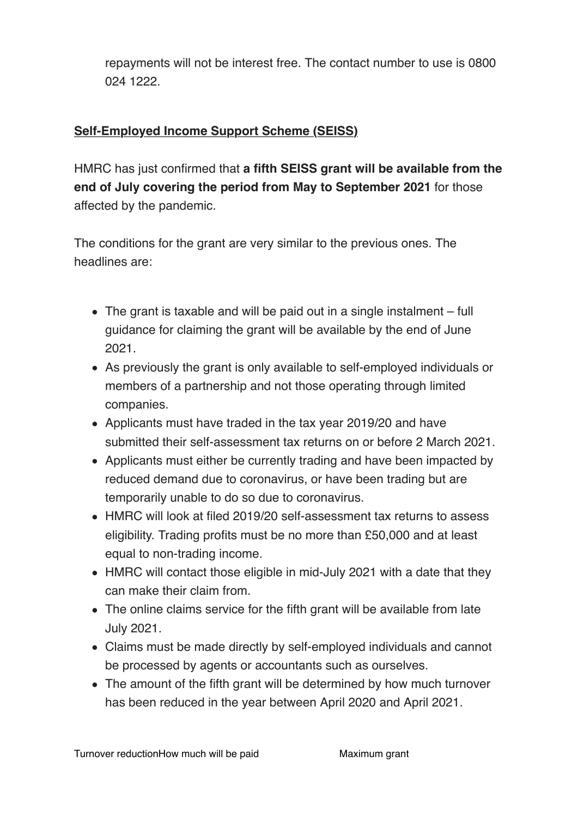repayments will not be interest free. The contact number to use is 0800 024 1222.

## **Self-Employed Income Support Scheme (SEISS)**

HMRC has just confirmed that **a fifth SEISS grant will be available from the end of July covering the period from May to September 2021** for those affected by the pandemic.

The conditions for the grant are very similar to the previous ones. The headlines are:

- The grant is taxable and will be paid out in a single instalment full guidance for claiming the grant will be available by the end of June 2021.
- As previously the grant is only available to self-employed individuals or members of a partnership and not those operating through limited companies.
- Applicants must have traded in the tax year 2019/20 and have submitted their self-assessment tax returns on or before 2 March 2021.
- Applicants must either be currently trading and have been impacted by reduced demand due to coronavirus, or have been trading but are temporarily unable to do so due to coronavirus.
- HMRC will look at filed 2019/20 self-assessment tax returns to assess eligibility. Trading profits must be no more than £50,000 and at least equal to non-trading income.
- HMRC will contact those eligible in mid-July 2021 with a date that they can make their claim from.
- The online claims service for the fifth grant will be available from late July 2021.
- Claims must be made directly by self-employed individuals and cannot be processed by agents or accountants such as ourselves.
- The amount of the fifth grant will be determined by how much turnover has been reduced in the year between April 2020 and April 2021.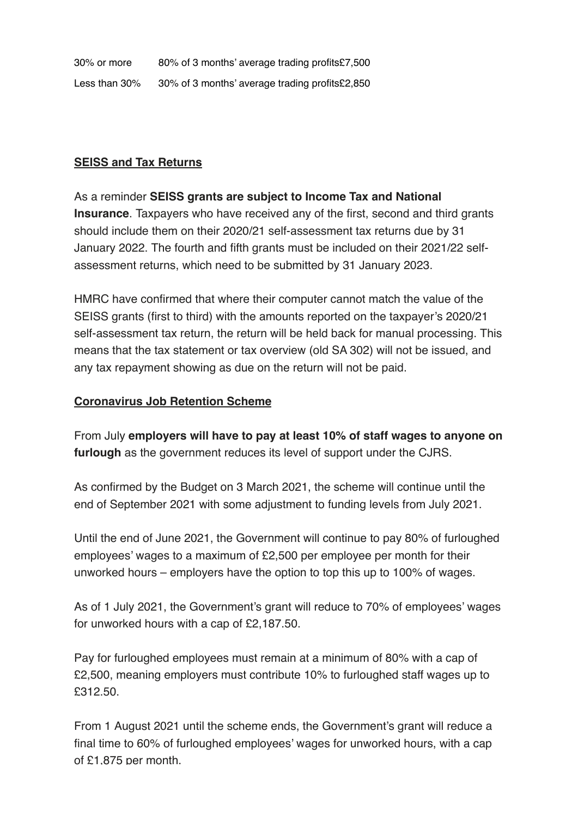30% or more 80% of 3 months' average trading profits£7,500 Less than 30% 30% of 3 months' average trading profits £2,850

#### **SEISS and Tax Returns**

As a reminder **SEISS grants are subject to Income Tax and National Insurance**. Taxpayers who have received any of the first, second and third grants should include them on their 2020/21 self-assessment tax returns due by 31 January 2022. The fourth and fifth grants must be included on their 2021/22 selfassessment returns, which need to be submitted by 31 January 2023.

HMRC have confirmed that where their computer cannot match the value of the SEISS grants (first to third) with the amounts reported on the taxpayer's 2020/21 self-assessment tax return, the return will be held back for manual processing. This means that the tax statement or tax overview (old SA 302) will not be issued, and any tax repayment showing as due on the return will not be paid.

#### **Coronavirus Job Retention Scheme**

From July **employers will have to pay at least 10% of staff wages to anyone on furlough** as the government reduces its level of support under the CJRS.

As confirmed by the Budget on 3 March 2021, the scheme will continue until the end of September 2021 with some adjustment to funding levels from July 2021.

Until the end of June 2021, the Government will continue to pay 80% of furloughed employees' wages to a maximum of £2,500 per employee per month for their unworked hours – employers have the option to top this up to 100% of wages.

As of 1 July 2021, the Government's grant will reduce to 70% of employees' wages for unworked hours with a cap of £2,187.50.

Pay for furloughed employees must remain at a minimum of 80% with a cap of £2,500, meaning employers must contribute 10% to furloughed staff wages up to £312.50.

From 1 August 2021 until the scheme ends, the Government's grant will reduce a final time to 60% of furloughed employees' wages for unworked hours, with a cap of £1,875 per month.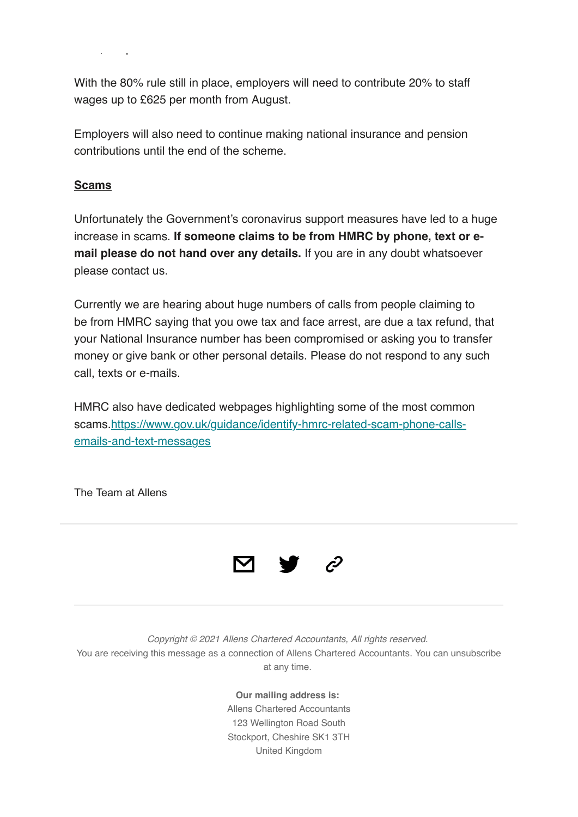With the 80% rule still in place, employers will need to contribute 20% to staff wages up to £625 per month from August.

Employers will also need to continue making national insurance and pension contributions until the end of the scheme.

### **Scams**

of £1,875 per month.

Unfortunately the Government's coronavirus support measures have led to a huge increase in scams. **If someone claims to be from HMRC by phone, text or email please do not hand over any details.** If you are in any doubt whatsoever please contact us.

Currently we are hearing about huge numbers of calls from people claiming to be from HMRC saying that you owe tax and face arrest, are due a tax refund, that your National Insurance number has been compromised or asking you to transfer money or give bank or other personal details. Please do not respond to any such call, texts or e-mails.

HMRC also have dedicated webpages highlighting some of the most common scams.https://www.gov.uk/guidance/identify-hmrc-related-scam-phone-callsemails-and-text-messages

The Team at Allens



*Copyright © 2021 Allens Chartered Accountants, All rights reserved.* You are receiving this message as a connection of Allens Chartered Accountants. You can unsubscribe at any time.

> **Our mailing address is:** Allens Chartered Accountants 123 Wellington Road South Stockport, Cheshire SK1 3TH United Kingdom